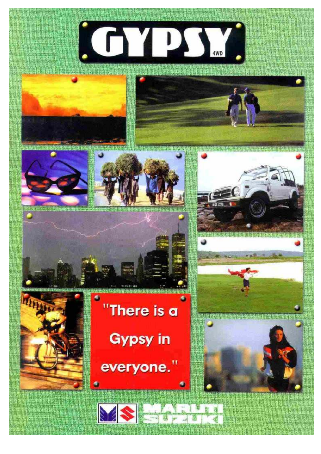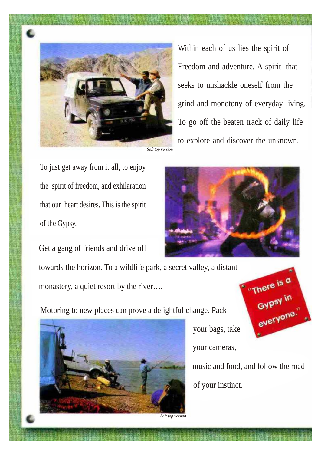

Within each of us lies the spirit of Freedom and adventure. A spirit that seeks to unshackle oneself from the grind and monotony of everyday living. To go off the beaten track of daily life to explore and discover the unknown.

To just get away from it all, to enjoy the spirit of freedom, and exhilaration that our heart desires. This is the spirit of the Gypsy.



Get a gang of friends and drive off towards the horizon. To a wildlife park, a secret valley, a distant monastery, a quiet resort by the river....

Motoring to new places can prove a delightful change. Pack



your bags, take

your cameras,

music and food, and follow the road of your instinct.

"There is a

everyone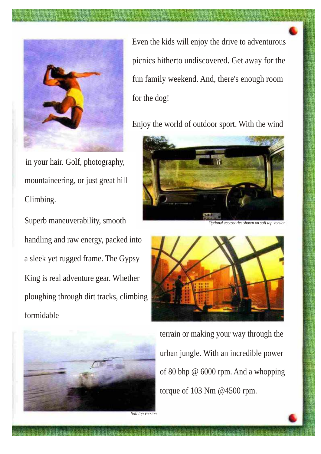

in your hair. Golf, photography, mountaineering, or just great hill Climbing.

Superb maneuverability, smooth handling and raw energy, packed into a sleek yet rugged frame. The Gypsy King is real adventure gear. Whether ploughing through dirt tracks, climbing formidable



Even the kids will enjoy the drive to adventurous picnics hitherto undiscovered. Get away for the fun family weekend. And, there's enough room for the dog!

Enjoy the world of outdoor sport. With the wind



Optional accessories shown on soft top version



terrain or making your way through the urban jungle. With an incredible power of 80 bhp @ 6000 rpm. And a whopping torque of 103 Nm @4500 rpm.